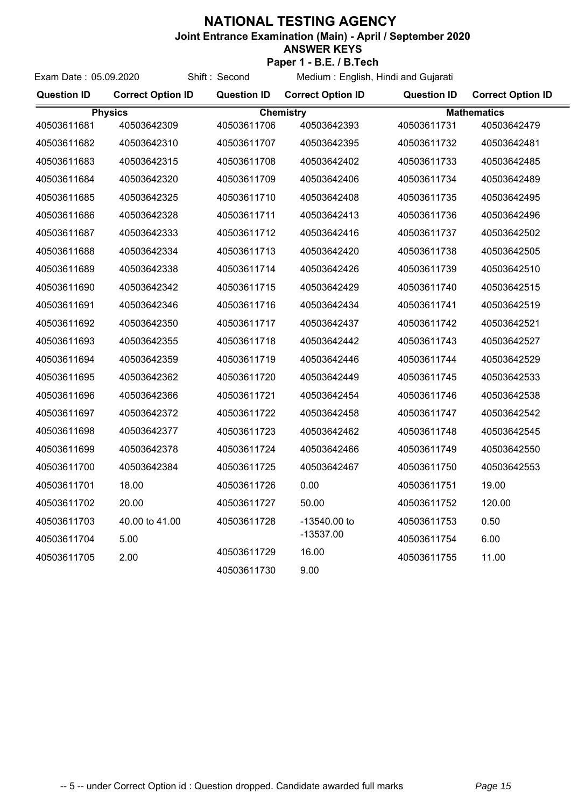## **NATIONAL TESTING AGENCY**

**Joint Entrance Examination (Main) - April / September 2020**

## **ANSWER KEYS Paper 1 - B.E. / B.Tech**

**Question ID Correct Option ID Question ID Question ID Correct Option ID Correct Option ID** Exam Date : 05.09.2020 Shift : Second Medium : English, Hindi and Gujarati Physics Chemistry Chemistry Mathematics 40503611681 40503642309 40503611706 40503642393 40503611707 40503642395 40503611708 40503642402 40503611731 40503642479

| 40503611682 | 40503642310    | 40503611707 | 40503642395  | 40503611732 | 40503642481 |
|-------------|----------------|-------------|--------------|-------------|-------------|
| 40503611683 | 40503642315    | 40503611708 | 40503642402  | 40503611733 | 40503642485 |
| 40503611684 | 40503642320    | 40503611709 | 40503642406  | 40503611734 | 40503642489 |
| 40503611685 | 40503642325    | 40503611710 | 40503642408  | 40503611735 | 40503642495 |
| 40503611686 | 40503642328    | 40503611711 | 40503642413  | 40503611736 | 40503642496 |
| 40503611687 | 40503642333    | 40503611712 | 40503642416  | 40503611737 | 40503642502 |
| 40503611688 | 40503642334    | 40503611713 | 40503642420  | 40503611738 | 40503642505 |
| 40503611689 | 40503642338    | 40503611714 | 40503642426  | 40503611739 | 40503642510 |
| 40503611690 | 40503642342    | 40503611715 | 40503642429  | 40503611740 | 40503642515 |
| 40503611691 | 40503642346    | 40503611716 | 40503642434  | 40503611741 | 40503642519 |
| 40503611692 | 40503642350    | 40503611717 | 40503642437  | 40503611742 | 40503642521 |
| 40503611693 | 40503642355    | 40503611718 | 40503642442  | 40503611743 | 40503642527 |
| 40503611694 | 40503642359    | 40503611719 | 40503642446  | 40503611744 | 40503642529 |
| 40503611695 | 40503642362    | 40503611720 | 40503642449  | 40503611745 | 40503642533 |
| 40503611696 | 40503642366    | 40503611721 | 40503642454  | 40503611746 | 40503642538 |
| 40503611697 | 40503642372    | 40503611722 | 40503642458  | 40503611747 | 40503642542 |
| 40503611698 | 40503642377    | 40503611723 | 40503642462  | 40503611748 | 40503642545 |
| 40503611699 | 40503642378    | 40503611724 | 40503642466  | 40503611749 | 40503642550 |
| 40503611700 | 40503642384    | 40503611725 | 40503642467  | 40503611750 | 40503642553 |
| 40503611701 | 18.00          | 40503611726 | 0.00         | 40503611751 | 19.00       |
| 40503611702 | 20.00          | 40503611727 | 50.00        | 40503611752 | 120.00      |
| 40503611703 | 40,00 to 41,00 | 40503611728 | -13540.00 to | 40503611753 | 0.50        |
| 40503611704 | 5.00           |             | $-13537.00$  | 40503611754 | 6.00        |
| 40503611705 | 2.00           | 40503611729 | 16.00        | 40503611755 | 11.00       |
|             |                | 40503611730 | 9.00         |             |             |